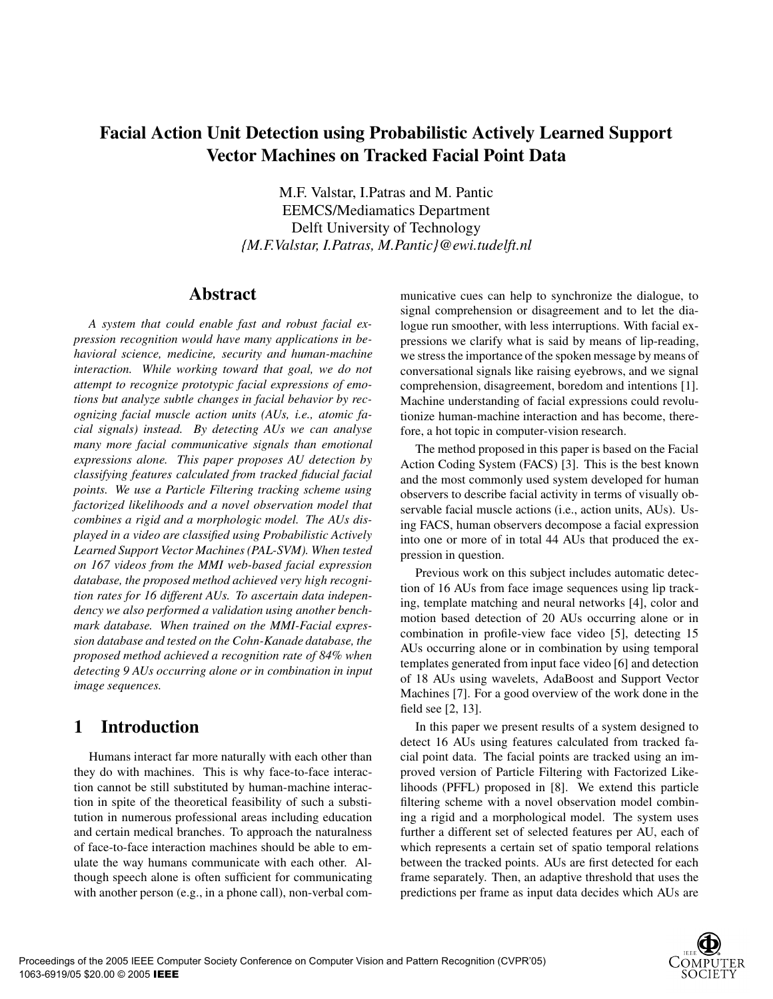# **Facial Action Unit Detection using Probabilistic Actively Learned Support Vector Machines on Tracked Facial Point Data**

M.F. Valstar, I.Patras and M. Pantic EEMCS/Mediamatics Department Delft University of Technology *{M.F.Valstar, I.Patras, M.Pantic}@ewi.tudelft.nl*

### **Abstract**

*A system that could enable fast and robust facial expression recognition would have many applications in behavioral science, medicine, security and human-machine interaction. While working toward that goal, we do not attempt to recognize prototypic facial expressions of emotions but analyze subtle changes in facial behavior by recognizing facial muscle action units (AUs, i.e., atomic facial signals) instead. By detecting AUs we can analyse many more facial communicative signals than emotional expressions alone. This paper proposes AU detection by classifying features calculated from tracked fiducial facial points. We use a Particle Filtering tracking scheme using factorized likelihoods and a novel observation model that combines a rigid and a morphologic model. The AUs displayed in a video are classified using Probabilistic Actively Learned Support Vector Machines (PAL-SVM). When tested on 167 videos from the MMI web-based facial expression database, the proposed method achieved very high recognition rates for 16 different AUs. To ascertain data independency we also performed a validation using another benchmark database. When trained on the MMI-Facial expression database and tested on the Cohn-Kanade database, the proposed method achieved a recognition rate of 84% when detecting 9 AUs occurring alone or in combination in input image sequences.*

# **1 Introduction**

Humans interact far more naturally with each other than they do with machines. This is why face-to-face interaction cannot be still substituted by human-machine interaction in spite of the theoretical feasibility of such a substitution in numerous professional areas including education and certain medical branches. To approach the naturalness of face-to-face interaction machines should be able to emulate the way humans communicate with each other. Although speech alone is often sufficient for communicating with another person (e.g., in a phone call), non-verbal communicative cues can help to synchronize the dialogue, to signal comprehension or disagreement and to let the dialogue run smoother, with less interruptions. With facial expressions we clarify what is said by means of lip-reading, we stress the importance of the spoken message by means of conversational signals like raising eyebrows, and we signal comprehension, disagreement, boredom and intentions [1]. Machine understanding of facial expressions could revolutionize human-machine interaction and has become, therefore, a hot topic in computer-vision research.

The method proposed in this paper is based on the Facial Action Coding System (FACS) [3]. This is the best known and the most commonly used system developed for human observers to describe facial activity in terms of visually observable facial muscle actions (i.e., action units, AUs). Using FACS, human observers decompose a facial expression into one or more of in total 44 AUs that produced the expression in question.

Previous work on this subject includes automatic detection of 16 AUs from face image sequences using lip tracking, template matching and neural networks [4], color and motion based detection of 20 AUs occurring alone or in combination in profile-view face video [5], detecting 15 AUs occurring alone or in combination by using temporal templates generated from input face video [6] and detection of 18 AUs using wavelets, AdaBoost and Support Vector Machines [7]. For a good overview of the work done in the field see [2, 13].

In this paper we present results of a system designed to detect 16 AUs using features calculated from tracked facial point data. The facial points are tracked using an improved version of Particle Filtering with Factorized Likelihoods (PFFL) proposed in [8]. We extend this particle filtering scheme with a novel observation model combining a rigid and a morphological model. The system uses further a different set of selected features per AU, each of which represents a certain set of spatio temporal relations between the tracked points. AUs are first detected for each frame separately. Then, an adaptive threshold that uses the predictions per frame as input data decides which AUs are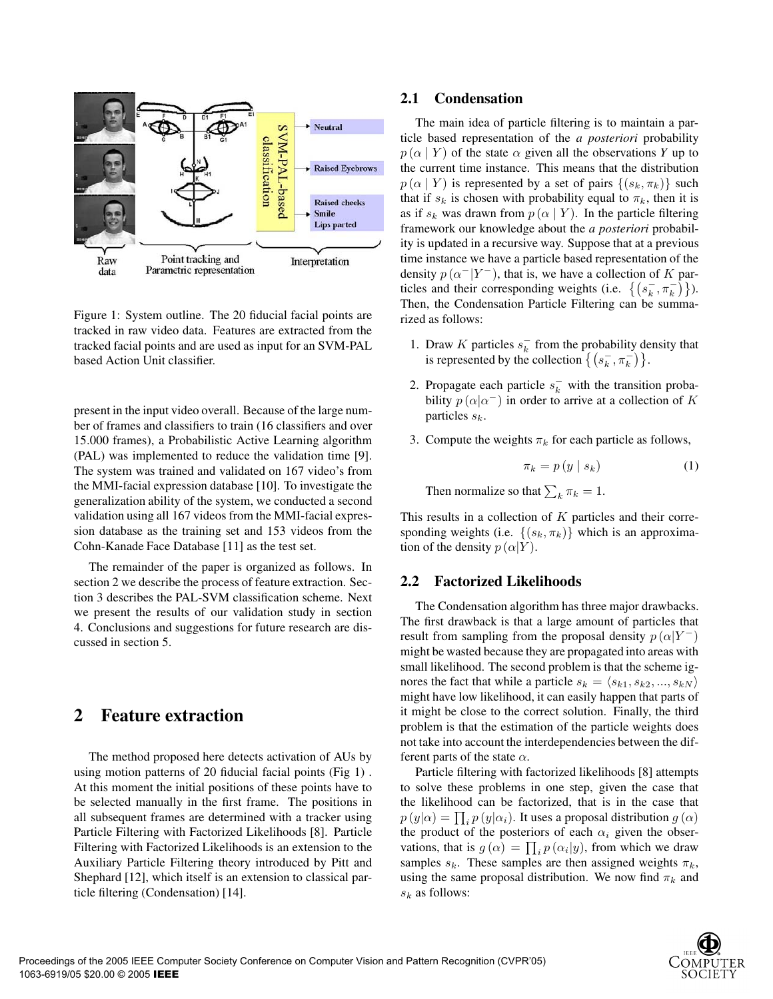

Figure 1: System outline. The 20 fiducial facial points are tracked in raw video data. Features are extracted from the tracked facial points and are used as input for an SVM-PAL based Action Unit classifier.

present in the input video overall. Because of the large number of frames and classifiers to train (16 classifiers and over 15.000 frames), a Probabilistic Active Learning algorithm (PAL) was implemented to reduce the validation time [9]. The system was trained and validated on 167 video's from the MMI-facial expression database [10]. To investigate the generalization ability of the system, we conducted a second validation using all 167 videos from the MMI-facial expression database as the training set and 153 videos from the Cohn-Kanade Face Database [11] as the test set.

The remainder of the paper is organized as follows. In section 2 we describe the process of feature extraction. Section 3 describes the PAL-SVM classification scheme. Next we present the results of our validation study in section 4. Conclusions and suggestions for future research are discussed in section 5.

# **2 Feature extraction**

The method proposed here detects activation of AUs by using motion patterns of 20 fiducial facial points (Fig 1) . At this moment the initial positions of these points have to be selected manually in the first frame. The positions in all subsequent frames are determined with a tracker using Particle Filtering with Factorized Likelihoods [8]. Particle Filtering with Factorized Likelihoods is an extension to the Auxiliary Particle Filtering theory introduced by Pitt and Shephard [12], which itself is an extension to classical particle filtering (Condensation) [14].

#### **2.1 Condensation**

The main idea of particle filtering is to maintain a particle based representation of the *a posteriori* probability  $p(\alpha | Y)$  of the state  $\alpha$  given all the observations *Y* up to the current time instance. This means that the distribution  $p(\alpha | Y)$  is represented by a set of pairs  $\{(s_k, \pi_k)\}\$  such that if  $s_k$  is chosen with probability equal to  $\pi_k$ , then it is as if  $s_k$  was drawn from  $p(\alpha | Y)$ . In the particle filtering framework our knowledge about the *a posteriori* probability is updated in a recursive way. Suppose that at a previous time instance we have a particle based representation of the density  $p(\alpha^-|Y^-)$ , that is, we have a collection of K particles and their corresponding weights (i.e.  $\{(s_k^-,\pi_k^-)\}\$ ). Then, the Condensation Particle Filtering can be summarized as follows:

- 1. Draw K particles  $s_k^-$  from the probability density that is represented by the collection  $\{(s_k^-,\pi_k^+)\}.$
- 2. Propagate each particle  $s_k^-$  with the transition probability  $p(\alpha|\alpha^{-})$  in order to arrive at a collection of K particles  $s_k$ .
- 3. Compute the weights  $\pi_k$  for each particle as follows,

$$
\pi_k = p\left(y \mid s_k\right) \tag{1}
$$

Then normalize so that  $\sum_k \pi_k = 1$ .

This results in a collection of  $K$  particles and their corresponding weights (i.e.  $\{(s_k, \pi_k)\}\$  which is an approximation of the density  $p(\alpha|Y)$ .

#### **2.2 Factorized Likelihoods**

The Condensation algorithm has three major drawbacks. The first drawback is that a large amount of particles that result from sampling from the proposal density  $p(\alpha|Y^-)$ might be wasted because they are propagated into areas with small likelihood. The second problem is that the scheme ignores the fact that while a particle  $s_k = \langle s_{k1}, s_{k2}, ..., s_{kN} \rangle$ might have low likelihood, it can easily happen that parts of it might be close to the correct solution. Finally, the third problem is that the estimation of the particle weights does not take into account the interdependencies between the different parts of the state  $\alpha$ .

Particle filtering with factorized likelihoods [8] attempts to solve these problems in one step, given the case that the likelihood can be factorized, that is in the case that  $p(y|\alpha) = \prod_i p(y|\alpha_i)$ . It uses a proposal distribution  $g(\alpha)$ the product of the posteriors of each  $\alpha_i$  given the observations, that is  $g(\alpha) = \prod_i p(\alpha_i|y)$ , from which we draw samples  $s_k$ . These samples are then assigned weights  $\pi_k$ , using the same proposal distribution. We now find  $\pi_k$  and  $s_k$  as follows:

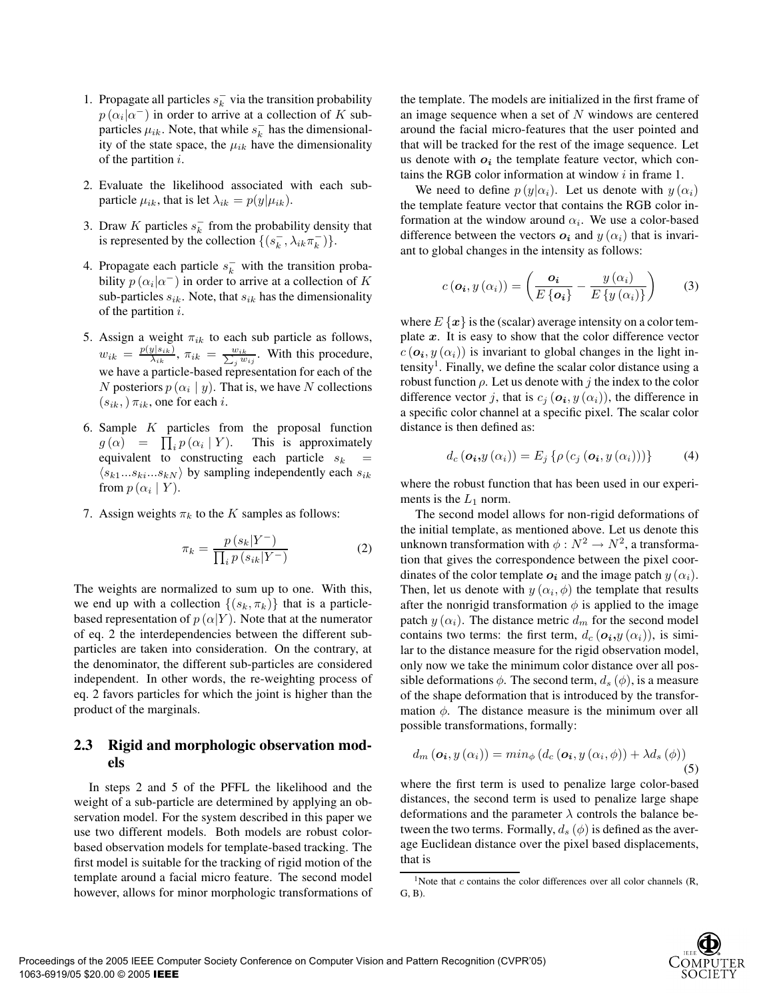- 1. Propagate all particles  $s_k^-$  via the transition probability  $p(\alpha_i|\alpha^{-})$  in order to arrive at a collection of K subparticles  $\mu_{ik}$ . Note, that while  $s_k^-$  has the dimensionality of the state space, the  $\mu_{ik}$  have the dimensionality of the partition i.
- 2. Evaluate the likelihood associated with each subparticle  $\mu_{ik}$ , that is let  $\lambda_{ik} = p(y|\mu_{ik})$ .
- 3. Draw K particles  $s_k^-$  from the probability density that is represented by the collection  $\{(s_k^-,\lambda_{ik}\pi_k^-)\}.$
- 4. Propagate each particle  $s_k^-$  with the transition probability  $p(\alpha_i|\alpha^{-})$  in order to arrive at a collection of K sub-particles  $s_{ik}$ . Note, that  $s_{ik}$  has the dimensionality of the partition  $i$ .
- 5. Assign a weight  $\pi_{ik}$  to each sub particle as follows,  $w_{ik} = \frac{p(y|s_{ik})}{\lambda_{ik}}, \pi_{ik} = \frac{w_{ik}}{\sum_j w_{ij}}$ . With this procedure, we have a particle-based representation for each of the N posteriors  $p(\alpha_i | y)$ . That is, we have N collections  $(s_{ik},)\pi_{ik}$ , one for each i.
- 6. Sample  $K$  particles from the proposal function  $g(\alpha) = \prod_i p(\alpha_i | Y).$ This is approximately equivalent to constructing each particle  $s_k$  $\langle s_{k1}...s_{ki}...s_{kN} \rangle$  by sampling independently each  $s_{ik}$ from  $p(\alpha_i | Y)$ .
- 7. Assign weights  $\pi_k$  to the K samples as follows:

$$
\pi_k = \frac{p(s_k|Y^-)}{\prod_i p(s_{ik}|Y^-)}\tag{2}
$$

The weights are normalized to sum up to one. With this, we end up with a collection  $\{(s_k, \pi_k)\}\)$  that is a particlebased representation of  $p(\alpha|Y)$ . Note that at the numerator of eq. 2 the interdependencies between the different subparticles are taken into consideration. On the contrary, at the denominator, the different sub-particles are considered independent. In other words, the re-weighting process of eq. 2 favors particles for which the joint is higher than the product of the marginals.

### **2.3 Rigid and morphologic observation models**

In steps 2 and 5 of the PFFL the likelihood and the weight of a sub-particle are determined by applying an observation model. For the system described in this paper we use two different models. Both models are robust colorbased observation models for template-based tracking. The first model is suitable for the tracking of rigid motion of the template around a facial micro feature. The second model however, allows for minor morphologic transformations of

the template. The models are initialized in the first frame of an image sequence when a set of  $N$  windows are centered around the facial micro-features that the user pointed and that will be tracked for the rest of the image sequence. Let us denote with  $o_i$  the template feature vector, which contains the RGB color information at window  $i$  in frame 1.

We need to define  $p(y|\alpha_i)$ . Let us denote with  $y(\alpha_i)$ the template feature vector that contains the RGB color information at the window around  $\alpha_i$ . We use a color-based difference between the vectors  $o_i$  and  $y(\alpha_i)$  that is invariant to global changes in the intensity as follows:

$$
c(\boldsymbol{o_i}, y(\alpha_i)) = \left(\frac{\boldsymbol{o_i}}{E\{\boldsymbol{o_i}\}} - \frac{y(\alpha_i)}{E\{y(\alpha_i)\}}\right) \qquad (3)
$$

where  $E\{\mathbf{x}\}\$  is the (scalar) average intensity on a color template *x*. It is easy to show that the color difference vector  $c(\mathbf{o}_i, y(\alpha_i))$  is invariant to global changes in the light intensity<sup>1</sup>. Finally, we define the scalar color distance using a robust function  $\rho$ . Let us denote with j the index to the color difference vector j, that is  $c_i$  ( $o_i$ ,  $y$  ( $\alpha_i$ )), the difference in a specific color channel at a specific pixel. The scalar color distance is then defined as:

$$
d_c\left(\mathbf{o_i}, y\left(\alpha_i\right)\right) = E_j\left\{\rho\left(c_j\left(\mathbf{o_i}, y\left(\alpha_i\right)\right)\right)\right\} \tag{4}
$$

where the robust function that has been used in our experiments is the  $L_1$  norm.

The second model allows for non-rigid deformations of the initial template, as mentioned above. Let us denote this unknown transformation with  $\phi : N^2 \to N^2$ , a transformation that gives the correspondence between the pixel coordinates of the color template  $o_i$  and the image patch  $y(\alpha_i)$ . Then, let us denote with  $y(\alpha_i, \phi)$  the template that results after the nonrigid transformation  $\phi$  is applied to the image patch  $y(\alpha_i)$ . The distance metric  $d_m$  for the second model contains two terms: the first term,  $d_c$  ( $\boldsymbol{o_i}$ , $y$  ( $\alpha_i$ )), is similar to the distance measure for the rigid observation model, only now we take the minimum color distance over all possible deformations  $\phi$ . The second term,  $d_s(\phi)$ , is a measure of the shape deformation that is introduced by the transformation  $\phi$ . The distance measure is the minimum over all possible transformations, formally:

$$
d_m\left(\mathbf{o_i}, y\left(\alpha_i\right)\right) = \min_{\phi}\left(d_c\left(\mathbf{o_i}, y\left(\alpha_i, \phi\right)\right) + \lambda d_s\left(\phi\right)\right) \tag{5}
$$

where the first term is used to penalize large color-based distances, the second term is used to penalize large shape deformations and the parameter  $\lambda$  controls the balance between the two terms. Formally,  $d_s(\phi)$  is defined as the average Euclidean distance over the pixel based displacements, that is

<sup>&</sup>lt;sup>1</sup>Note that  $c$  contains the color differences over all color channels  $(R,$ G, B).

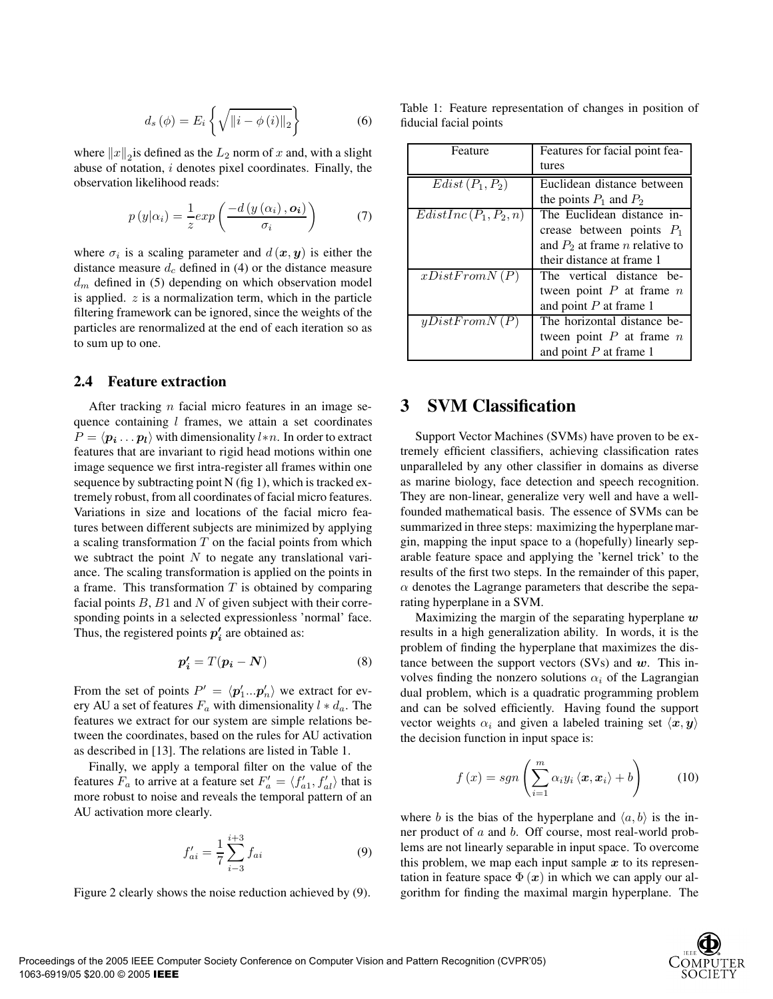$$
d_s(\phi) = E_i \left\{ \sqrt{\|i - \phi(i)\|_2} \right\} \tag{6}
$$

where  $||x||_2$  is defined as the  $L_2$  norm of x and, with a slight abuse of notation,  $i$  denotes pixel coordinates. Finally, the observation likelihood reads:

$$
p(y|\alpha_i) = \frac{1}{z} exp\left(\frac{-d(y(\alpha_i), \mathbf{o}_i)}{\sigma_i}\right) \tag{7}
$$

where  $\sigma_i$  is a scaling parameter and  $d(\mathbf{x}, \mathbf{y})$  is either the distance measure  $d_c$  defined in (4) or the distance measure  $d_m$  defined in (5) depending on which observation model is applied.  $z$  is a normalization term, which in the particle filtering framework can be ignored, since the weights of the particles are renormalized at the end of each iteration so as to sum up to one.

#### **2.4 Feature extraction**

After tracking n facial micro features in an image sequence containing  $l$  frames, we attain a set coordinates  $P = \langle p_i ... p_l \rangle$  with dimensionality  $l * n$ . In order to extract features that are invariant to rigid head motions within one image sequence we first intra-register all frames within one sequence by subtracting point N (fig 1), which is tracked extremely robust, from all coordinates of facial micro features. Variations in size and locations of the facial micro features between different subjects are minimized by applying a scaling transformation  $T$  on the facial points from which we subtract the point  $N$  to negate any translational variance. The scaling transformation is applied on the points in a frame. This transformation  $T$  is obtained by comparing facial points  $B$ ,  $B1$  and  $N$  of given subject with their corresponding points in a selected expressionless 'normal' face. Thus, the registered points  $p_i'$  are obtained as:

$$
p_i' = T(p_i - N) \tag{8}
$$

From the set of points  $P' = \langle p'_1...p'_n \rangle$  we extract for every AU a set of features  $F_a$  with dimensionality  $l * d_a$ . The features we extract for our system are simple relations between the coordinates, based on the rules for AU activation as described in [13]. The relations are listed in Table 1.

Finally, we apply a temporal filter on the value of the features  $F_a$  to arrive at a feature set  $F'_a = \langle f'_{a1}, f'_{a l} \rangle$  that is more robust to noise and reveals the temporal pattern of an AU activation more clearly.

$$
f'_{ai} = \frac{1}{7} \sum_{i=3}^{i+3} f_{ai}
$$
 (9)

Figure 2 clearly shows the noise reduction achieved by (9).

Table 1: Feature representation of changes in position of fiducial facial points

| Feature                 | Features for facial point fea-          |  |  |
|-------------------------|-----------------------------------------|--|--|
|                         | tures                                   |  |  |
| $Edist(P_1, P_2)$       | Euclidean distance between              |  |  |
|                         | the points $P_1$ and $P_2$              |  |  |
| $EdistInc(P_1, P_2, n)$ | The Euclidean distance in-              |  |  |
|                         | crease between points $P_1$             |  |  |
|                         | and $P_2$ at frame <i>n</i> relative to |  |  |
|                         | their distance at frame 1               |  |  |
| xDistFromN(P)           | The vertical distance be-               |  |  |
|                         | tween point $P$ at frame $n$            |  |  |
|                         | and point $P$ at frame 1                |  |  |
| yDistFromN(P)           | The horizontal distance be-             |  |  |
|                         | tween point $P$ at frame $n$            |  |  |
|                         | and point $P$ at frame 1                |  |  |

### **3 SVM Classification**

Support Vector Machines (SVMs) have proven to be extremely efficient classifiers, achieving classification rates unparalleled by any other classifier in domains as diverse as marine biology, face detection and speech recognition. They are non-linear, generalize very well and have a wellfounded mathematical basis. The essence of SVMs can be summarized in three steps: maximizing the hyperplane margin, mapping the input space to a (hopefully) linearly separable feature space and applying the 'kernel trick' to the results of the first two steps. In the remainder of this paper,  $\alpha$  denotes the Lagrange parameters that describe the separating hyperplane in a SVM.

Maximizing the margin of the separating hyperplane *w* results in a high generalization ability. In words, it is the problem of finding the hyperplane that maximizes the distance between the support vectors (SVs) and *w*. This involves finding the nonzero solutions  $\alpha_i$  of the Lagrangian dual problem, which is a quadratic programming problem and can be solved efficiently. Having found the support vector weights  $\alpha_i$  and given a labeled training set  $\langle x, y \rangle$ the decision function in input space is:

$$
f(x) = sgn\left(\sum_{i=1}^{m} \alpha_i y_i \langle x, x_i \rangle + b\right)
$$
 (10)

where b is the bias of the hyperplane and  $\langle a, b \rangle$  is the inner product of a and b. Off course, most real-world problems are not linearly separable in input space. To overcome this problem, we map each input sample  $x$  to its representation in feature space  $\Phi(x)$  in which we can apply our algorithm for finding the maximal margin hyperplane. The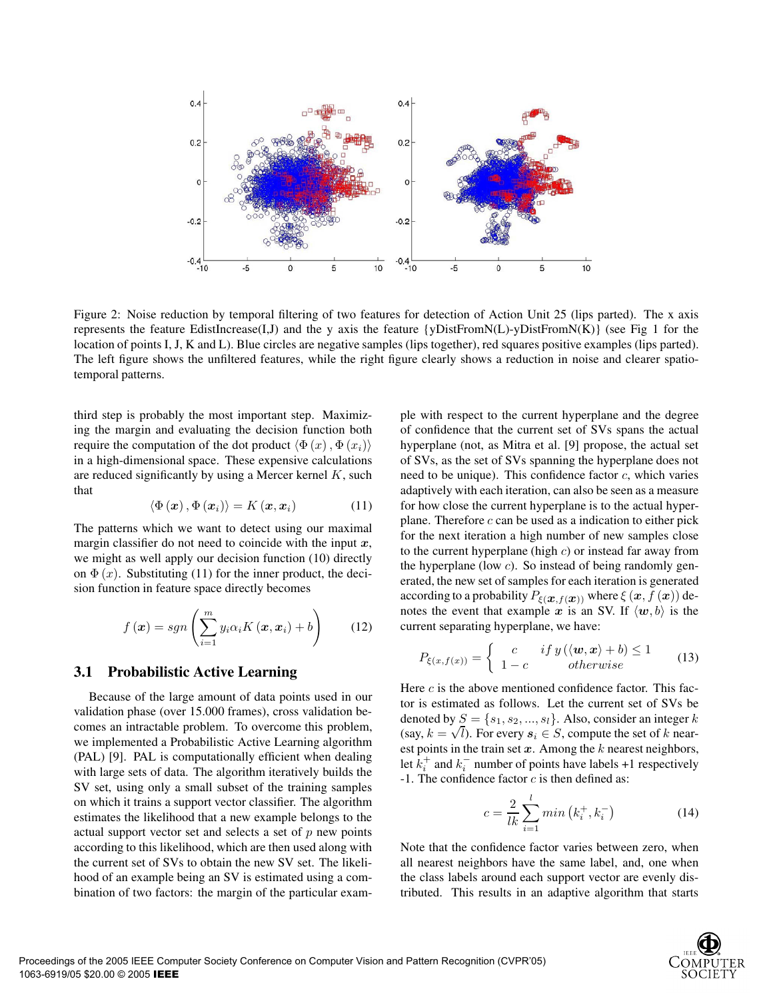

Figure 2: Noise reduction by temporal filtering of two features for detection of Action Unit 25 (lips parted). The x axis represents the feature EdistIncrease(I,J) and the y axis the feature {yDistFromN(L)-yDistFromN(K)} (see Fig 1 for the location of points I, J, K and L). Blue circles are negative samples (lips together), red squares positive examples (lips parted). The left figure shows the unfiltered features, while the right figure clearly shows a reduction in noise and clearer spatiotemporal patterns.

third step is probably the most important step. Maximizing the margin and evaluating the decision function both require the computation of the dot product  $\langle \Phi(x), \Phi(x_i) \rangle$ in a high-dimensional space. These expensive calculations are reduced significantly by using a Mercer kernel  $K$ , such that

$$
\langle \Phi(\boldsymbol{x}), \Phi(\boldsymbol{x}_i) \rangle = K(\boldsymbol{x}, \boldsymbol{x}_i) \tag{11}
$$

The patterns which we want to detect using our maximal margin classifier do not need to coincide with the input *x*, we might as well apply our decision function (10) directly on  $\Phi(x)$ . Substituting (11) for the inner product, the decision function in feature space directly becomes

$$
f(\boldsymbol{x}) = sgn\left(\sum_{i=1}^{m} y_i \alpha_i K(\boldsymbol{x}, \boldsymbol{x}_i) + b\right)
$$
 (12)

#### **3.1 Probabilistic Active Learning**

Because of the large amount of data points used in our validation phase (over 15.000 frames), cross validation becomes an intractable problem. To overcome this problem, we implemented a Probabilistic Active Learning algorithm (PAL) [9]. PAL is computationally efficient when dealing with large sets of data. The algorithm iteratively builds the SV set, using only a small subset of the training samples on which it trains a support vector classifier. The algorithm estimates the likelihood that a new example belongs to the actual support vector set and selects a set of  $p$  new points according to this likelihood, which are then used along with the current set of SVs to obtain the new SV set. The likelihood of an example being an SV is estimated using a combination of two factors: the margin of the particular exam-

ple with respect to the current hyperplane and the degree of confidence that the current set of SVs spans the actual hyperplane (not, as Mitra et al. [9] propose, the actual set of SVs, as the set of SVs spanning the hyperplane does not need to be unique). This confidence factor  $c$ , which varies adaptively with each iteration, can also be seen as a measure for how close the current hyperplane is to the actual hyperplane. Therefore  $c$  can be used as a indication to either pick for the next iteration a high number of new samples close to the current hyperplane (high  $c$ ) or instead far away from the hyperplane (low  $c$ ). So instead of being randomly generated, the new set of samples for each iteration is generated according to a probability  $P_{\xi(\mathbf{x},f(\mathbf{x}))}$  where  $\xi(\mathbf{x},f(\mathbf{x}))$  denotes the event that example x is an SV. If  $\langle w, b \rangle$  is the current separating hyperplane, we have:

$$
P_{\xi(x,f(x))} = \begin{cases} c & if \, y \, (\langle \boldsymbol{w}, \boldsymbol{x} \rangle + b) \le 1 \\ 1 - c & otherwise \end{cases} \tag{13}
$$

Here  $c$  is the above mentioned confidence factor. This factor is estimated as follows. Let the current set of SVs be denoted by  $S = \{s_1, s_2, ..., s_l\}$ . Also, consider an integer k (say,  $k = \sqrt{l}$ ). For every  $s_i \in S$ , compute the set of k nearest points in the train set  $x$ . Among the  $k$  nearest neighbors, let  $k_i^+$  and  $k_i^-$  number of points have labels +1 respectively  $-1$ . The confidence factor  $c$  is then defined as:

$$
c = \frac{2}{lk} \sum_{i=1}^{l} \min\left(k_i^+, k_i^-\right) \tag{14}
$$

Note that the confidence factor varies between zero, when all nearest neighbors have the same label, and, one when the class labels around each support vector are evenly distributed. This results in an adaptive algorithm that starts

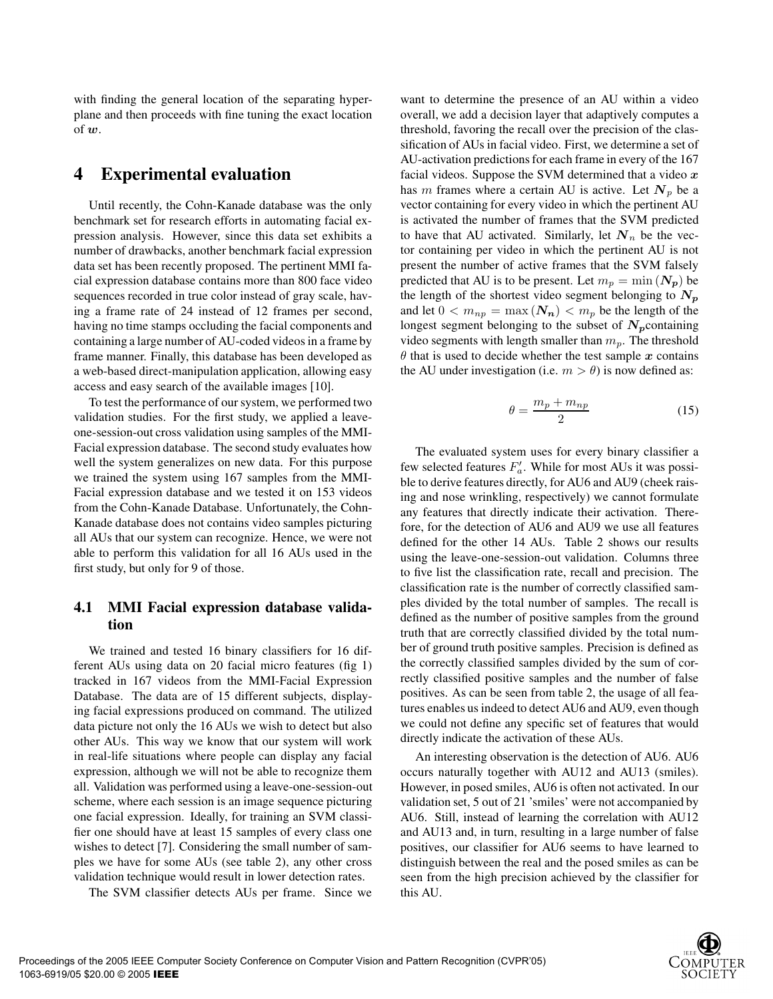with finding the general location of the separating hyperplane and then proceeds with fine tuning the exact location of *w*.

### **4 Experimental evaluation**

Until recently, the Cohn-Kanade database was the only benchmark set for research efforts in automating facial expression analysis. However, since this data set exhibits a number of drawbacks, another benchmark facial expression data set has been recently proposed. The pertinent MMI facial expression database contains more than 800 face video sequences recorded in true color instead of gray scale, having a frame rate of 24 instead of 12 frames per second, having no time stamps occluding the facial components and containing a large number of AU-coded videos in a frame by frame manner. Finally, this database has been developed as a web-based direct-manipulation application, allowing easy access and easy search of the available images [10].

To test the performance of our system, we performed two validation studies. For the first study, we applied a leaveone-session-out cross validation using samples of the MMI-Facial expression database. The second study evaluates how well the system generalizes on new data. For this purpose we trained the system using 167 samples from the MMI-Facial expression database and we tested it on 153 videos from the Cohn-Kanade Database. Unfortunately, the Cohn-Kanade database does not contains video samples picturing all AUs that our system can recognize. Hence, we were not able to perform this validation for all 16 AUs used in the first study, but only for 9 of those.

### **4.1 MMI Facial expression database validation**

We trained and tested 16 binary classifiers for 16 different AUs using data on 20 facial micro features (fig 1) tracked in 167 videos from the MMI-Facial Expression Database. The data are of 15 different subjects, displaying facial expressions produced on command. The utilized data picture not only the 16 AUs we wish to detect but also other AUs. This way we know that our system will work in real-life situations where people can display any facial expression, although we will not be able to recognize them all. Validation was performed using a leave-one-session-out scheme, where each session is an image sequence picturing one facial expression. Ideally, for training an SVM classifier one should have at least 15 samples of every class one wishes to detect [7]. Considering the small number of samples we have for some AUs (see table 2), any other cross validation technique would result in lower detection rates.

The SVM classifier detects AUs per frame. Since we

want to determine the presence of an AU within a video overall, we add a decision layer that adaptively computes a threshold, favoring the recall over the precision of the classification of AUs in facial video. First, we determine a set of AU-activation predictions for each frame in every of the 167 facial videos. Suppose the SVM determined that a video *x* has m frames where a certain AU is active. Let  $N_p$  be a vector containing for every video in which the pertinent AU is activated the number of frames that the SVM predicted to have that AU activated. Similarly, let  $N_n$  be the vector containing per video in which the pertinent AU is not present the number of active frames that the SVM falsely predicted that AU is to be present. Let  $m_p = \min(N_p)$  be the length of the shortest video segment belonging to  $N_p$ and let  $0 < m_{np} = \max(N_n) < m_p$  be the length of the longest segment belonging to the subset of  $N_p$ containing video segments with length smaller than  $m_p$ . The threshold  $\theta$  that is used to decide whether the test sample x contains the AU under investigation (i.e.  $m > \theta$ ) is now defined as:

$$
\theta = \frac{m_p + m_{np}}{2} \tag{15}
$$

The evaluated system uses for every binary classifier a few selected features  $F'_a$ . While for most AUs it was possible to derive features directly, for AU6 and AU9 (cheek raising and nose wrinkling, respectively) we cannot formulate any features that directly indicate their activation. Therefore, for the detection of AU6 and AU9 we use all features defined for the other 14 AUs. Table 2 shows our results using the leave-one-session-out validation. Columns three to five list the classification rate, recall and precision. The classification rate is the number of correctly classified samples divided by the total number of samples. The recall is defined as the number of positive samples from the ground truth that are correctly classified divided by the total number of ground truth positive samples. Precision is defined as the correctly classified samples divided by the sum of correctly classified positive samples and the number of false positives. As can be seen from table 2, the usage of all features enables us indeed to detect AU6 and AU9, even though we could not define any specific set of features that would directly indicate the activation of these AUs.

An interesting observation is the detection of AU6. AU6 occurs naturally together with AU12 and AU13 (smiles). However, in posed smiles, AU6 is often not activated. In our validation set, 5 out of 21 'smiles' were not accompanied by AU6. Still, instead of learning the correlation with AU12 and AU13 and, in turn, resulting in a large number of false positives, our classifier for AU6 seems to have learned to distinguish between the real and the posed smiles as can be seen from the high precision achieved by the classifier for this AU.

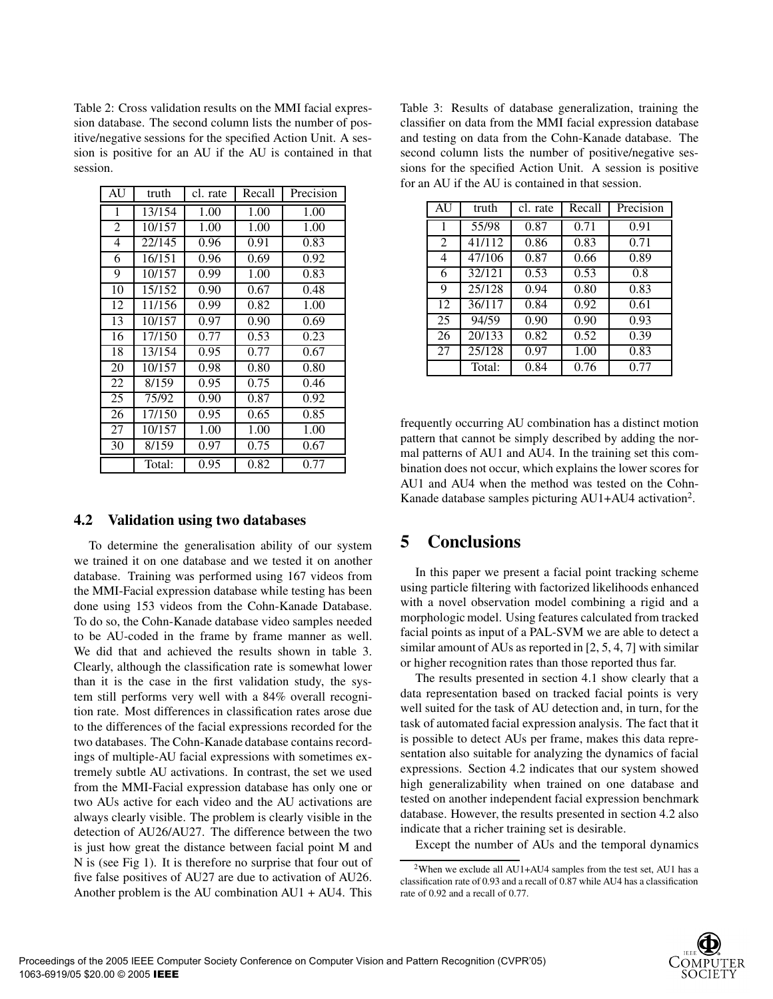Table 2: Cross validation results on the MMI facial expression database. The second column lists the number of positive/negative sessions for the specified Action Unit. A session is positive for an AU if the AU is contained in that session.

| AU | truth  | cl. rate | Recall | Precision |
|----|--------|----------|--------|-----------|
| 1  | 13/154 | 1.00     | 1.00   | 1.00      |
| 2  | 10/157 | 1.00     | 1.00   | 1.00      |
| 4  | 22/145 | 0.96     | 0.91   | 0.83      |
| 6  | 16/151 | 0.96     | 0.69   | 0.92      |
| 9  | 10/157 | 0.99     | 1.00   | 0.83      |
| 10 | 15/152 | 0.90     | 0.67   | 0.48      |
| 12 | 11/156 | 0.99     | 0.82   | 1.00      |
| 13 | 10/157 | 0.97     | 0.90   | 0.69      |
| 16 | 17/150 | 0.77     | 0.53   | 0.23      |
| 18 | 13/154 | 0.95     | 0.77   | 0.67      |
| 20 | 10/157 | 0.98     | 0.80   | 0.80      |
| 22 | 8/159  | 0.95     | 0.75   | 0.46      |
| 25 | 75/92  | 0.90     | 0.87   | 0.92      |
| 26 | 17/150 | 0.95     | 0.65   | 0.85      |
| 27 | 10/157 | 1.00     | 1.00   | 1.00      |
| 30 | 8/159  | 0.97     | 0.75   | 0.67      |
|    | Total: | 0.95     | 0.82   | 0.77      |

### **4.2 Validation using two databases**

To determine the generalisation ability of our system we trained it on one database and we tested it on another database. Training was performed using 167 videos from the MMI-Facial expression database while testing has been done using 153 videos from the Cohn-Kanade Database. To do so, the Cohn-Kanade database video samples needed to be AU-coded in the frame by frame manner as well. We did that and achieved the results shown in table 3. Clearly, although the classification rate is somewhat lower than it is the case in the first validation study, the system still performs very well with a 84% overall recognition rate. Most differences in classification rates arose due to the differences of the facial expressions recorded for the two databases. The Cohn-Kanade database contains recordings of multiple-AU facial expressions with sometimes extremely subtle AU activations. In contrast, the set we used from the MMI-Facial expression database has only one or two AUs active for each video and the AU activations are always clearly visible. The problem is clearly visible in the detection of AU26/AU27. The difference between the two is just how great the distance between facial point M and N is (see Fig 1). It is therefore no surprise that four out of five false positives of AU27 are due to activation of AU26. Another problem is the AU combination AU1 + AU4. This

Table 3: Results of database generalization, training the classifier on data from the MMI facial expression database and testing on data from the Cohn-Kanade database. The second column lists the number of positive/negative sessions for the specified Action Unit. A session is positive for an AU if the AU is contained in that session.

| AU | truth  | cl. rate | Recall | Precision |
|----|--------|----------|--------|-----------|
| 1  | 55/98  | 0.87     | 0.71   | 0.91      |
| 2  | 41/112 | 0.86     | 0.83   | 0.71      |
| 4  | 47/106 | 0.87     | 0.66   | 0.89      |
| 6  | 32/121 | 0.53     | 0.53   | 0.8       |
| 9  | 25/128 | 0.94     | 0.80   | 0.83      |
| 12 | 36/117 | 0.84     | 0.92   | 0.61      |
| 25 | 94/59  | 0.90     | 0.90   | 0.93      |
| 26 | 20/133 | 0.82     | 0.52   | 0.39      |
| 27 | 25/128 | 0.97     | 1.00   | 0.83      |
|    | Total: | 0.84     | 0.76   | 0.77      |

frequently occurring AU combination has a distinct motion pattern that cannot be simply described by adding the normal patterns of AU1 and AU4. In the training set this combination does not occur, which explains the lower scores for AU1 and AU4 when the method was tested on the Cohn-Kanade database samples picturing AU1+AU4 activation<sup>2</sup>.

# **5 Conclusions**

In this paper we present a facial point tracking scheme using particle filtering with factorized likelihoods enhanced with a novel observation model combining a rigid and a morphologic model. Using features calculated from tracked facial points as input of a PAL-SVM we are able to detect a similar amount of AUs as reported in [2, 5, 4, 7] with similar or higher recognition rates than those reported thus far.

The results presented in section 4.1 show clearly that a data representation based on tracked facial points is very well suited for the task of AU detection and, in turn, for the task of automated facial expression analysis. The fact that it is possible to detect AUs per frame, makes this data representation also suitable for analyzing the dynamics of facial expressions. Section 4.2 indicates that our system showed high generalizability when trained on one database and tested on another independent facial expression benchmark database. However, the results presented in section 4.2 also indicate that a richer training set is desirable.

Except the number of AUs and the temporal dynamics

<sup>&</sup>lt;sup>2</sup>When we exclude all AU1+AU4 samples from the test set, AU1 has a classification rate of 0.93 and a recall of 0.87 while AU4 has a classification rate of 0.92 and a recall of 0.77.